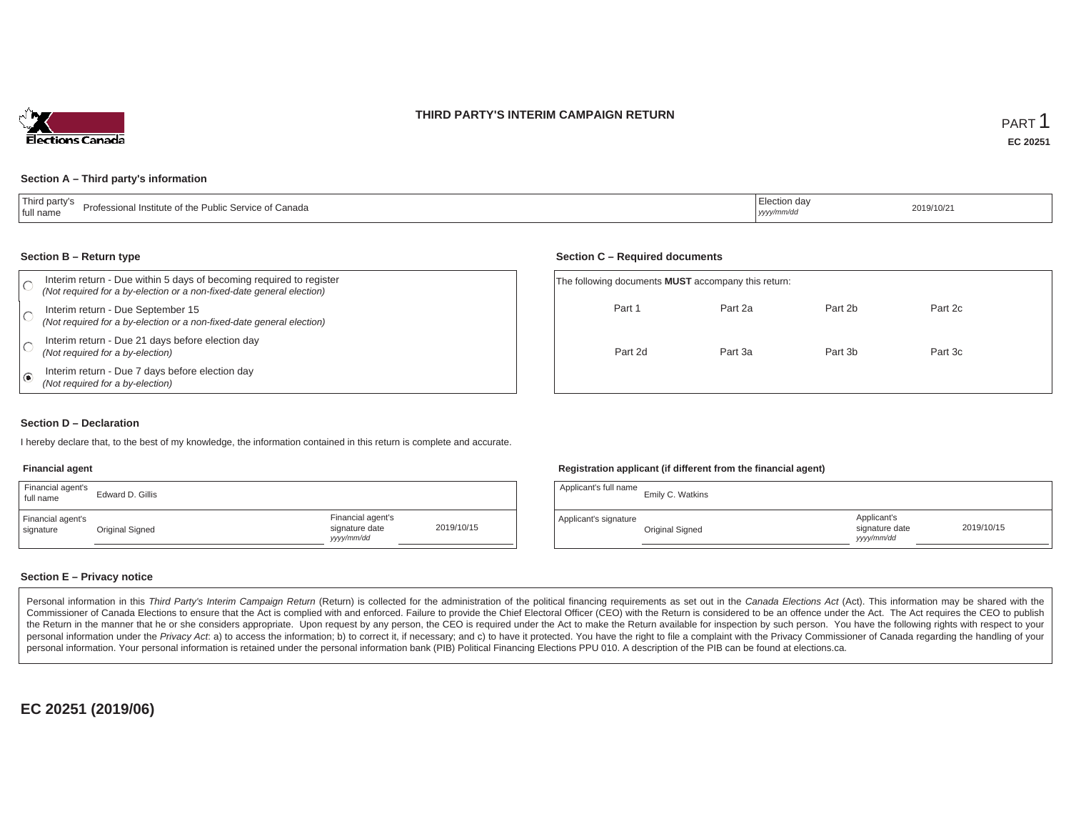### **THIRD PARTY'S INTERIM CAMPAIGN RETURN**



#### **Section A – Third party's information**

| Third party's<br>Professional Institute of the Public Service of Canada<br>I full name | uction day<br>yyyy/mm/d | 2019/10/21 |
|----------------------------------------------------------------------------------------|-------------------------|------------|
|----------------------------------------------------------------------------------------|-------------------------|------------|

#### **Section B – Return type**

| Interim return - Due within 5 days of becoming required to register<br>(Not required for a by-election or a non-fixed-date general election) | The following documents <b>MUST</b> accompany this return: |         |         |         |  |
|----------------------------------------------------------------------------------------------------------------------------------------------|------------------------------------------------------------|---------|---------|---------|--|
| Interim return - Due September 15<br>(Not required for a by-election or a non-fixed-date general election)                                   | Part 1                                                     | Part 2a | Part 2b | Part 2c |  |
| Interim return - Due 21 days before election day<br>(Not required for a by-election)                                                         | Part 2d                                                    | Part 3a | Part 3b | Part 3c |  |
| Interim return - Due 7 days before election day<br>(Not required for a by-election)                                                          |                                                            |         |         |         |  |

### **Section D – Declaration**

I hereby declare that, to the best of my knowledge, the information contained in this return is complete and accurate.

#### **Financial agent**

| Financial agent's<br>full name | Edward D. Gillis |                                                  |            |
|--------------------------------|------------------|--------------------------------------------------|------------|
| Financial agent's<br>signature | Original Signed  | Financial agent's<br>signature date<br>vyy/mm/dd | 2019/10/15 |

### **Registration applicant (if different from the financial agent)**

**Section C – Required documents**

| Applicant's full name | Emily C. Watkins |                                             |            |
|-----------------------|------------------|---------------------------------------------|------------|
| Applicant's signature | Original Signed  | Applicant's<br>signature date<br>yyyy/mm/dd | 2019/10/15 |

### **Section E – Privacy notice**

Personal information in this Third Party's Interim Campaign Return (Return) is collected for the administration of the political financing requirements as set out in the Canada Elections Act (Act). This information may be Commissioner of Canada Elections to ensure that the Act is complied with and enforced. Failure to provide the Chief Electoral Officer (CEO) with the Return is considered to be an offence under the Act. The Act requires the the Return in the manner that he or she considers appropriate. Upon request by any person, the CEO is required under the Act to make the Return available for inspection by such person. You have the following rights with re personal information under the Privacy Act. a) to access the information; b) to correct it, if necessary; and c) to have it protected. You have the right to file a complaint with the Privacy Commissioner of Canada regardin personal information. Your personal information is retained under the personal information bank (PIB) Political Financing Elections PPU 010. A description of the PIB can be found at elections.ca.

**EC 20251 (2019/06)**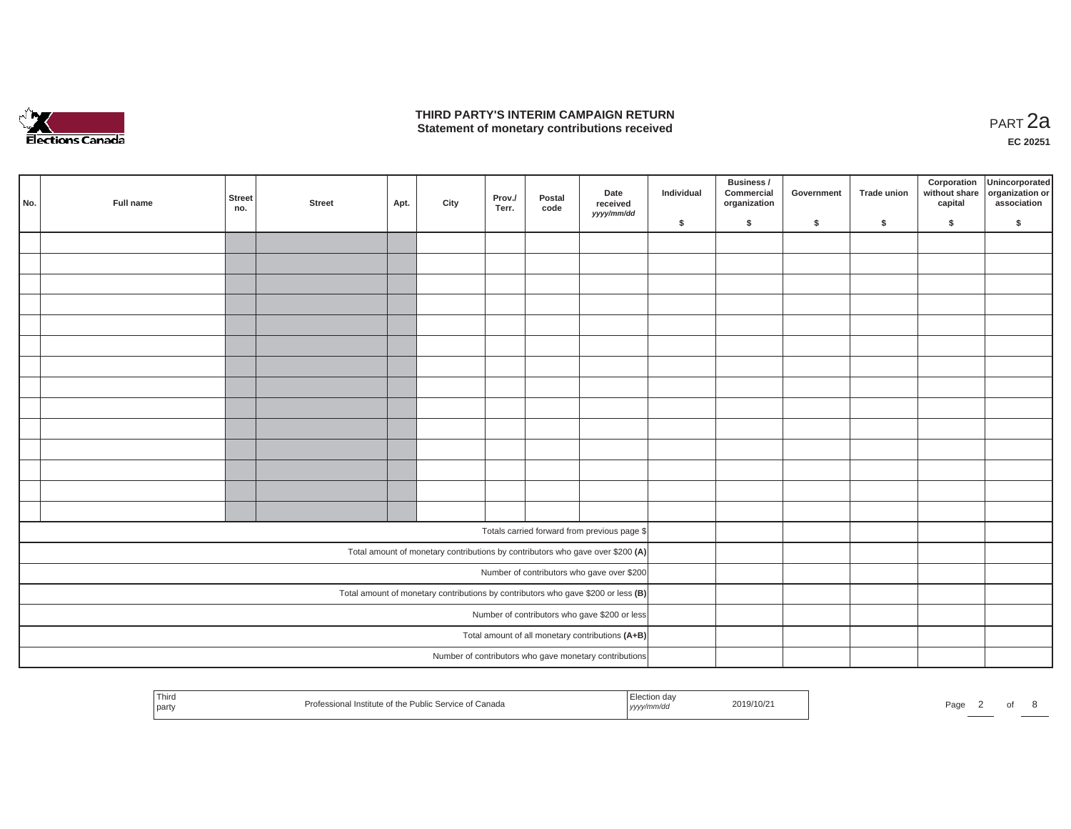

## **THIRD PARTY'S INTERIM CAMPAIGN RETURN THIRD PARTY'S INTERIM CAMPAIGN RETURN<br>Statement of monetary contributions received PART 2a**

| No.<br>Full name | <b>Street</b><br>no. | <b>Street</b> | Apt. | City | Prov./<br>Terr. | Postal<br>code | Date<br>received<br>yyyy/mm/dd                                                    | Individual | Business /<br>Commercial<br>organization | Government | Trade union | Corporation | Unincorporated<br>without share<br>capital dissociation or<br>association |
|------------------|----------------------|---------------|------|------|-----------------|----------------|-----------------------------------------------------------------------------------|------------|------------------------------------------|------------|-------------|-------------|---------------------------------------------------------------------------|
|                  |                      |               |      |      |                 |                |                                                                                   | \$         | \$                                       | \$         | $\sqrt{2}$  | \$          | \$                                                                        |
|                  |                      |               |      |      |                 |                |                                                                                   |            |                                          |            |             |             |                                                                           |
|                  |                      |               |      |      |                 |                |                                                                                   |            |                                          |            |             |             |                                                                           |
|                  |                      |               |      |      |                 |                |                                                                                   |            |                                          |            |             |             |                                                                           |
|                  |                      |               |      |      |                 |                |                                                                                   |            |                                          |            |             |             |                                                                           |
|                  |                      |               |      |      |                 |                |                                                                                   |            |                                          |            |             |             |                                                                           |
|                  |                      |               |      |      |                 |                |                                                                                   |            |                                          |            |             |             |                                                                           |
|                  |                      |               |      |      |                 |                |                                                                                   |            |                                          |            |             |             |                                                                           |
|                  |                      |               |      |      |                 |                |                                                                                   |            |                                          |            |             |             |                                                                           |
|                  |                      |               |      |      |                 |                |                                                                                   |            |                                          |            |             |             |                                                                           |
|                  |                      |               |      |      |                 |                |                                                                                   |            |                                          |            |             |             |                                                                           |
|                  |                      |               |      |      |                 |                |                                                                                   |            |                                          |            |             |             |                                                                           |
|                  |                      |               |      |      |                 |                |                                                                                   |            |                                          |            |             |             |                                                                           |
|                  |                      |               |      |      |                 |                |                                                                                   |            |                                          |            |             |             |                                                                           |
|                  |                      |               |      |      |                 |                |                                                                                   |            |                                          |            |             |             |                                                                           |
|                  |                      |               |      |      |                 |                | Totals carried forward from previous page \$                                      |            |                                          |            |             |             |                                                                           |
|                  |                      |               |      |      |                 |                | Total amount of monetary contributions by contributors who gave over \$200 (A)    |            |                                          |            |             |             |                                                                           |
|                  |                      |               |      |      |                 |                | Number of contributors who gave over \$200                                        |            |                                          |            |             |             |                                                                           |
|                  |                      |               |      |      |                 |                | Total amount of monetary contributions by contributors who gave \$200 or less (B) |            |                                          |            |             |             |                                                                           |
|                  |                      |               |      |      |                 |                | Number of contributors who gave \$200 or less                                     |            |                                          |            |             |             |                                                                           |
|                  |                      |               |      |      |                 |                | Total amount of all monetary contributions (A+B)                                  |            |                                          |            |             |             |                                                                           |
|                  |                      |               |      |      |                 |                | Number of contributors who gave monetary contributions                            |            |                                          |            |             |             |                                                                           |
|                  |                      |               |      |      |                 |                |                                                                                   |            |                                          |            |             |             |                                                                           |

| Third<br><sup>:</sup> Canada<br>of the Public Service of<br>nstitute of<br>.onal<br>.ules<br>  party | /10/2<br>,,,,, | Page |
|------------------------------------------------------------------------------------------------------|----------------|------|
|------------------------------------------------------------------------------------------------------|----------------|------|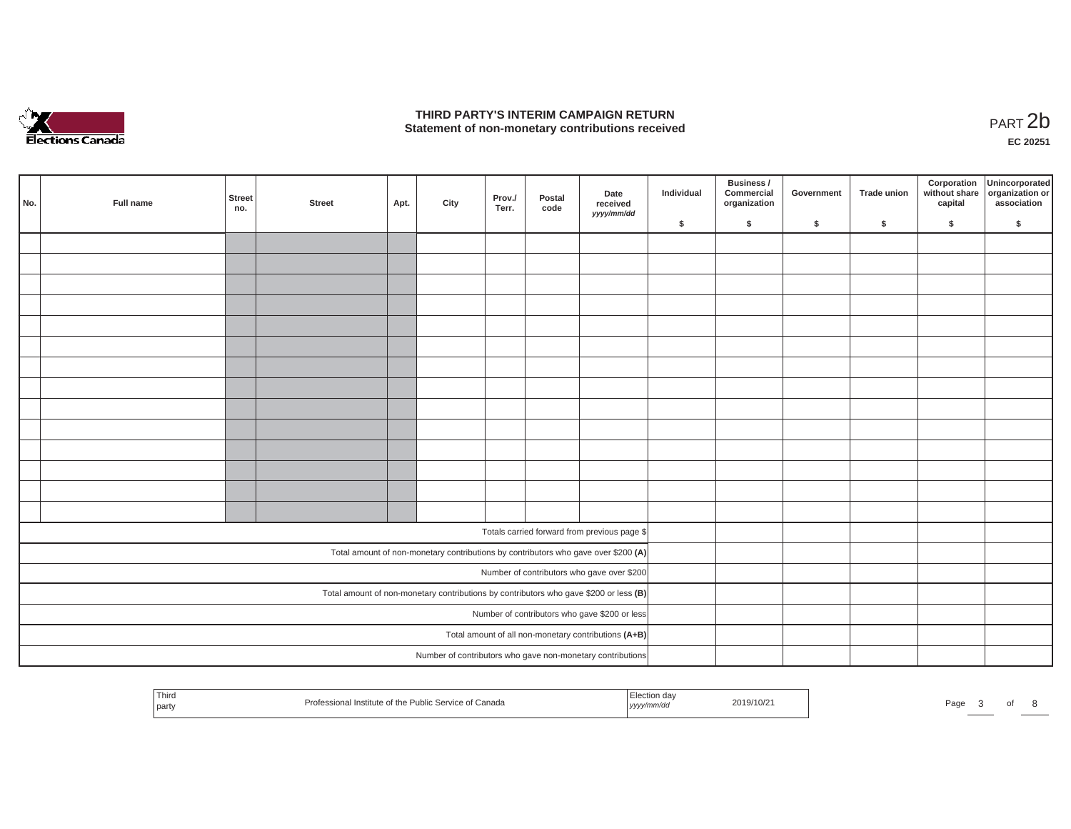

## **THIRD PARTY'S INTERIM CAMPAIGN RETURN**  THIRD PARTY'S INTERIM CAMPAIGN RETURN<br>Statement of non-monetary contributions received<br>**PART 2**b

**EC 20251**

| No.                                                                                   | Full name | Street<br>no. | <b>Street</b> | Apt. | City | Prov./<br>Terr. | Postal<br>code | Date<br>received<br>yyyy/mm/dd                                                     | Individual | Business /<br>Commercial<br>organization | Government | Trade union | Corporation<br>capital | Unincorporated<br>without share organization or<br>association |
|---------------------------------------------------------------------------------------|-----------|---------------|---------------|------|------|-----------------|----------------|------------------------------------------------------------------------------------|------------|------------------------------------------|------------|-------------|------------------------|----------------------------------------------------------------|
|                                                                                       |           |               |               |      |      |                 |                |                                                                                    | \$         | $\mathsf{s}$                             | \$         | $\sqrt{2}$  | \$                     | \$                                                             |
|                                                                                       |           |               |               |      |      |                 |                |                                                                                    |            |                                          |            |             |                        |                                                                |
|                                                                                       |           |               |               |      |      |                 |                |                                                                                    |            |                                          |            |             |                        |                                                                |
|                                                                                       |           |               |               |      |      |                 |                |                                                                                    |            |                                          |            |             |                        |                                                                |
|                                                                                       |           |               |               |      |      |                 |                |                                                                                    |            |                                          |            |             |                        |                                                                |
|                                                                                       |           |               |               |      |      |                 |                |                                                                                    |            |                                          |            |             |                        |                                                                |
|                                                                                       |           |               |               |      |      |                 |                |                                                                                    |            |                                          |            |             |                        |                                                                |
|                                                                                       |           |               |               |      |      |                 |                |                                                                                    |            |                                          |            |             |                        |                                                                |
|                                                                                       |           |               |               |      |      |                 |                |                                                                                    |            |                                          |            |             |                        |                                                                |
|                                                                                       |           |               |               |      |      |                 |                |                                                                                    |            |                                          |            |             |                        |                                                                |
|                                                                                       |           |               |               |      |      |                 |                |                                                                                    |            |                                          |            |             |                        |                                                                |
|                                                                                       |           |               |               |      |      |                 |                |                                                                                    |            |                                          |            |             |                        |                                                                |
|                                                                                       |           |               |               |      |      |                 |                |                                                                                    |            |                                          |            |             |                        |                                                                |
|                                                                                       |           |               |               |      |      |                 |                |                                                                                    |            |                                          |            |             |                        |                                                                |
|                                                                                       |           |               |               |      |      |                 |                |                                                                                    |            |                                          |            |             |                        |                                                                |
|                                                                                       |           |               |               |      |      |                 |                |                                                                                    |            |                                          |            |             |                        |                                                                |
|                                                                                       |           |               |               |      |      |                 |                | Totals carried forward from previous page \$                                       |            |                                          |            |             |                        |                                                                |
|                                                                                       |           |               |               |      |      |                 |                | Total amount of non-monetary contributions by contributors who gave over \$200 (A) |            |                                          |            |             |                        |                                                                |
|                                                                                       |           |               |               |      |      |                 |                | Number of contributors who gave over \$200                                         |            |                                          |            |             |                        |                                                                |
| Total amount of non-monetary contributions by contributors who gave \$200 or less (B) |           |               |               |      |      |                 |                |                                                                                    |            |                                          |            |             |                        |                                                                |
| Number of contributors who gave \$200 or less                                         |           |               |               |      |      |                 |                |                                                                                    |            |                                          |            |             |                        |                                                                |
|                                                                                       |           |               |               |      |      |                 |                | Total amount of all non-monetary contributions (A+B)                               |            |                                          |            |             |                        |                                                                |
|                                                                                       |           |               |               |      |      |                 |                | Number of contributors who gave non-monetary contributions                         |            |                                          |            |             |                        |                                                                |
|                                                                                       |           |               |               |      |      |                 |                |                                                                                    |            |                                          |            |             |                        |                                                                |

| 1 hird<br>l party | il Institute of the Public Service of Canada_ | ,,,,, | 2019/10/2 | Page |  |  |  |
|-------------------|-----------------------------------------------|-------|-----------|------|--|--|--|
|-------------------|-----------------------------------------------|-------|-----------|------|--|--|--|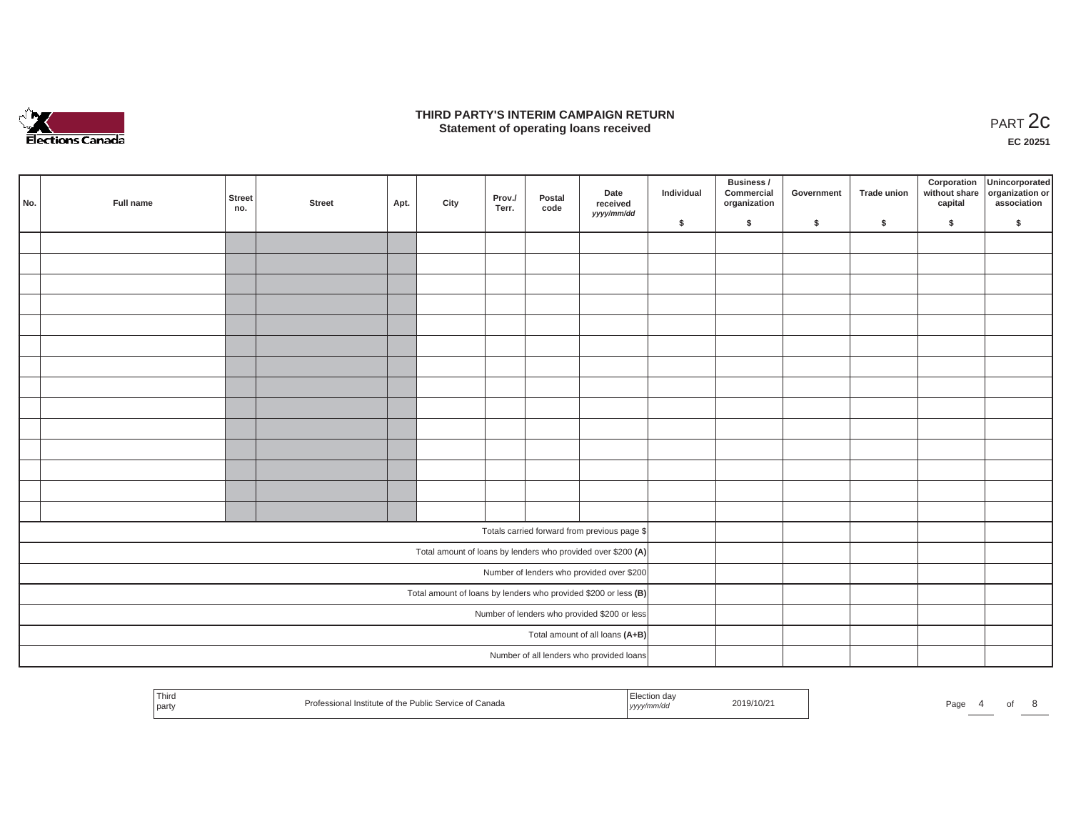

### **THIRD PARTY'S INTERIM CAMPAIGN RETURN**  RD PARTY'S INTERIM CAMPAIGN RETURN<br>Statement of operating loans received **PART 2c**

**EC 20251**

| No.                                                             | Full name | Street<br>no. | <b>Street</b> | Apt. | City | Prov./<br>Terr. | Postal<br>code | Date<br>received<br>yyyy/mm/dd                               | Individual | <b>Business /</b><br>Commercial<br>organization | Government | Trade union | Corporation<br>capital | Unincorporated<br>without share organization or<br>association |
|-----------------------------------------------------------------|-----------|---------------|---------------|------|------|-----------------|----------------|--------------------------------------------------------------|------------|-------------------------------------------------|------------|-------------|------------------------|----------------------------------------------------------------|
|                                                                 |           |               |               |      |      |                 |                |                                                              | \$         | \$                                              | \$         | \$          | \$                     | \$                                                             |
|                                                                 |           |               |               |      |      |                 |                |                                                              |            |                                                 |            |             |                        |                                                                |
|                                                                 |           |               |               |      |      |                 |                |                                                              |            |                                                 |            |             |                        |                                                                |
|                                                                 |           |               |               |      |      |                 |                |                                                              |            |                                                 |            |             |                        |                                                                |
|                                                                 |           |               |               |      |      |                 |                |                                                              |            |                                                 |            |             |                        |                                                                |
|                                                                 |           |               |               |      |      |                 |                |                                                              |            |                                                 |            |             |                        |                                                                |
|                                                                 |           |               |               |      |      |                 |                |                                                              |            |                                                 |            |             |                        |                                                                |
|                                                                 |           |               |               |      |      |                 |                |                                                              |            |                                                 |            |             |                        |                                                                |
|                                                                 |           |               |               |      |      |                 |                |                                                              |            |                                                 |            |             |                        |                                                                |
|                                                                 |           |               |               |      |      |                 |                |                                                              |            |                                                 |            |             |                        |                                                                |
|                                                                 |           |               |               |      |      |                 |                |                                                              |            |                                                 |            |             |                        |                                                                |
|                                                                 |           |               |               |      |      |                 |                |                                                              |            |                                                 |            |             |                        |                                                                |
|                                                                 |           |               |               |      |      |                 |                |                                                              |            |                                                 |            |             |                        |                                                                |
|                                                                 |           |               |               |      |      |                 |                |                                                              |            |                                                 |            |             |                        |                                                                |
|                                                                 |           |               |               |      |      |                 |                |                                                              |            |                                                 |            |             |                        |                                                                |
|                                                                 |           |               |               |      |      |                 |                | Totals carried forward from previous page \$                 |            |                                                 |            |             |                        |                                                                |
|                                                                 |           |               |               |      |      |                 |                | Total amount of loans by lenders who provided over \$200 (A) |            |                                                 |            |             |                        |                                                                |
|                                                                 |           |               |               |      |      |                 |                | Number of lenders who provided over \$200                    |            |                                                 |            |             |                        |                                                                |
| Total amount of loans by lenders who provided \$200 or less (B) |           |               |               |      |      |                 |                |                                                              |            |                                                 |            |             |                        |                                                                |
|                                                                 |           |               |               |      |      |                 |                | Number of lenders who provided \$200 or less                 |            |                                                 |            |             |                        |                                                                |
|                                                                 |           |               |               |      |      |                 |                | Total amount of all loans (A+B)                              |            |                                                 |            |             |                        |                                                                |
|                                                                 |           |               |               |      |      |                 |                | Number of all lenders who provided loans                     |            |                                                 |            |             |                        |                                                                |

| УУУУ |  | l hiro<br>l party | f Canada<br>Prof<br>nta of th<br>SAMILO O'<br><b>INCTI</b><br><b>SEIVILE</b> | mm/au | ንበ19/1በ/1 | Page |  |  |  |
|------|--|-------------------|------------------------------------------------------------------------------|-------|-----------|------|--|--|--|
|------|--|-------------------|------------------------------------------------------------------------------|-------|-----------|------|--|--|--|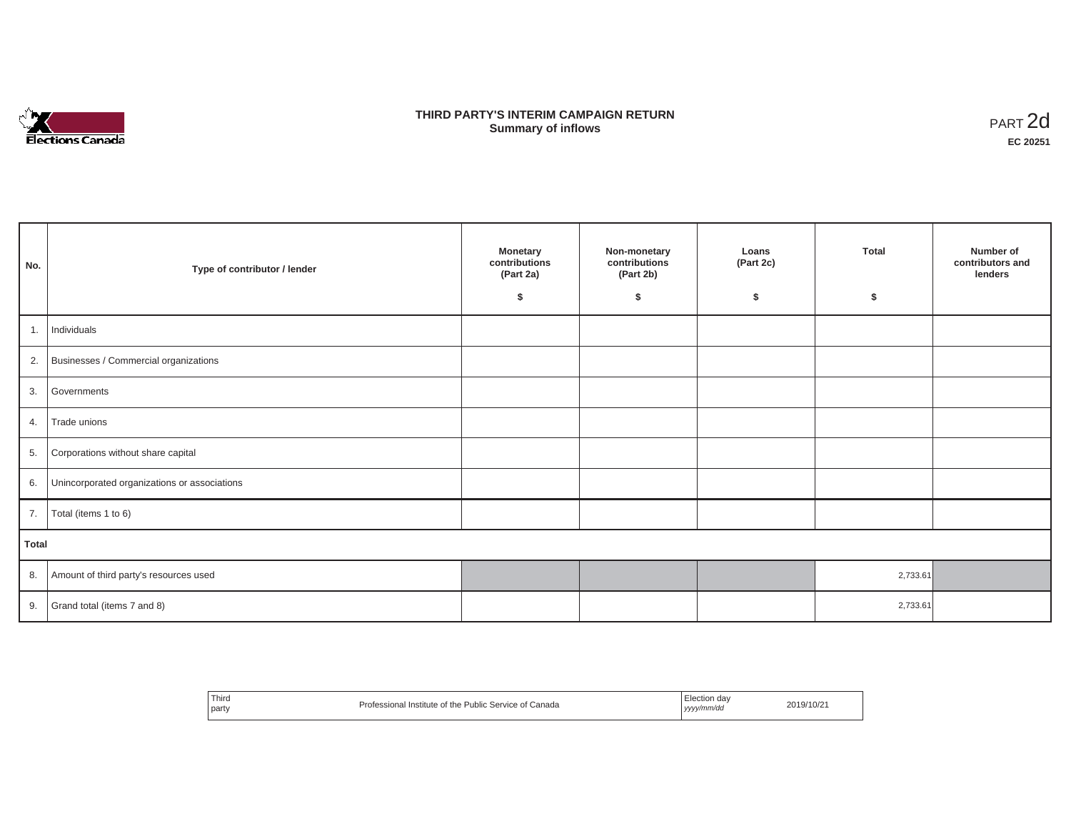

## **THIRD PARTY'S INTERIM CAMPAIGN RETURN SUMMARY STATE SUMMARY OF A SUMMARY OF A SUMMARY OF A SUMMARY OF A SUMMARY OF A SUMMARY OF A SUMMARY OF A SUMMA**<br> **Summary of inflows**

| No.          | Type of contributor / lender                 | <b>Monetary</b><br>contributions<br>(Part 2a)<br>\$ | Non-monetary<br>contributions<br>(Part 2b)<br>s. | Loans<br>(Part 2c)<br>\$ | <b>Total</b><br>\$ | Number of<br>contributors and<br>lenders |
|--------------|----------------------------------------------|-----------------------------------------------------|--------------------------------------------------|--------------------------|--------------------|------------------------------------------|
| 1.           | Individuals                                  |                                                     |                                                  |                          |                    |                                          |
|              | 2. Businesses / Commercial organizations     |                                                     |                                                  |                          |                    |                                          |
| 3.           | Governments                                  |                                                     |                                                  |                          |                    |                                          |
| 4.           | Trade unions                                 |                                                     |                                                  |                          |                    |                                          |
| 5.           | Corporations without share capital           |                                                     |                                                  |                          |                    |                                          |
| 6.           | Unincorporated organizations or associations |                                                     |                                                  |                          |                    |                                          |
| 7.           | Total (items 1 to 6)                         |                                                     |                                                  |                          |                    |                                          |
| <b>Total</b> |                                              |                                                     |                                                  |                          |                    |                                          |
| 8.           | Amount of third party's resources used       |                                                     |                                                  |                          | 2,733.61           |                                          |
| 9.           | Grand total (items 7 and 8)                  |                                                     |                                                  |                          | 2,733.61           |                                          |

| <sup>'</sup> Third<br>party | Professional Institute of the Public Service of Canada | Election day<br>yyyy/mm/dd<br>. | 2019/10/21 |
|-----------------------------|--------------------------------------------------------|---------------------------------|------------|
|-----------------------------|--------------------------------------------------------|---------------------------------|------------|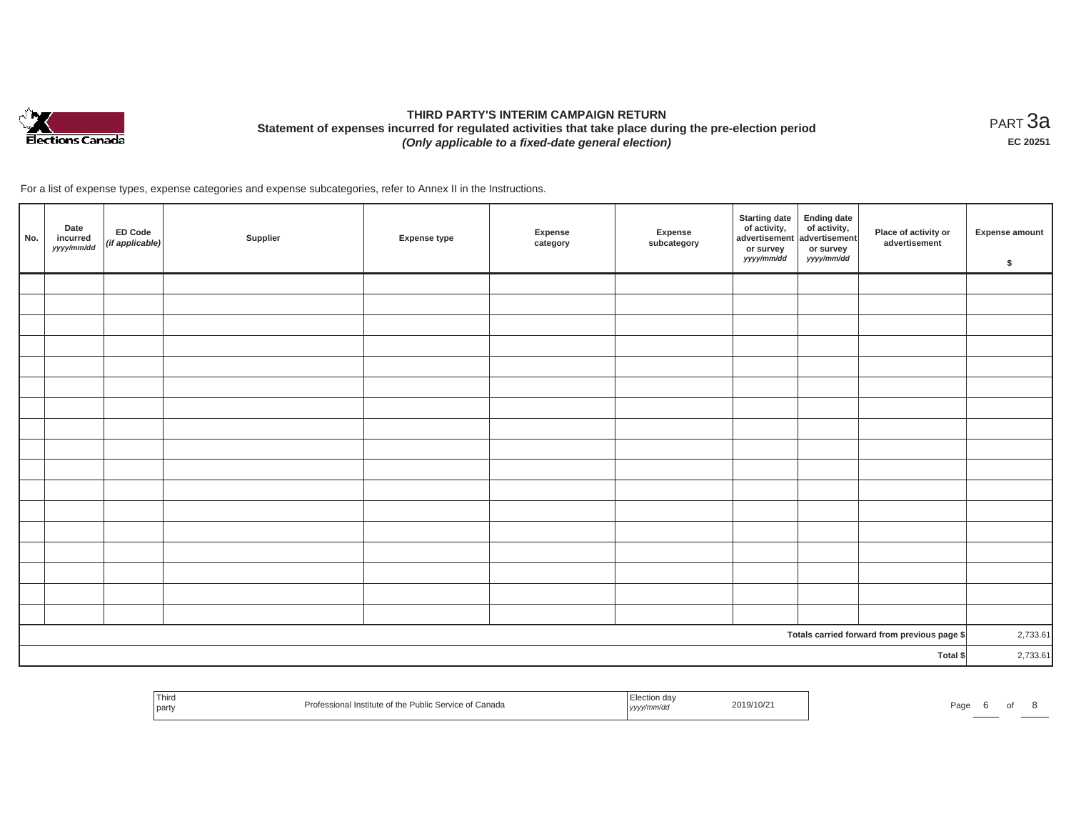

# **THIRD PARTY'S INTERIM CAMPAIGN RETURN Statement of expenses incurred for regulated activities that take place during the pre-election period**  *(Only applicable to a fixed-date general election)*

<code>PART $3$ a</code> **EC 20251**

For a list of expense types, expense categories and expense subcategories, refer to Annex II in the Instructions.

| No.                                          | Date<br>incurred<br>yyyy/mm/dd | <b>ED Code</b><br>(if applicable) | Supplier | <b>Expense type</b> | Expense<br>category | Expense<br>subcategory | <b>Starting date</b><br>of activity,<br>advertisement<br>or survey<br>yyyy/mm/dd | <b>Ending date</b><br>$\frac{1}{2}$ of activity,<br>or survey<br>yyyy/mm/dd | Place of activity or<br>advertisement | <b>Expense amount</b><br>\$ |
|----------------------------------------------|--------------------------------|-----------------------------------|----------|---------------------|---------------------|------------------------|----------------------------------------------------------------------------------|-----------------------------------------------------------------------------|---------------------------------------|-----------------------------|
|                                              |                                |                                   |          |                     |                     |                        |                                                                                  |                                                                             |                                       |                             |
|                                              |                                |                                   |          |                     |                     |                        |                                                                                  |                                                                             |                                       |                             |
|                                              |                                |                                   |          |                     |                     |                        |                                                                                  |                                                                             |                                       |                             |
|                                              |                                |                                   |          |                     |                     |                        |                                                                                  |                                                                             |                                       |                             |
|                                              |                                |                                   |          |                     |                     |                        |                                                                                  |                                                                             |                                       |                             |
|                                              |                                |                                   |          |                     |                     |                        |                                                                                  |                                                                             |                                       |                             |
|                                              |                                |                                   |          |                     |                     |                        |                                                                                  |                                                                             |                                       |                             |
|                                              |                                |                                   |          |                     |                     |                        |                                                                                  |                                                                             |                                       |                             |
|                                              |                                |                                   |          |                     |                     |                        |                                                                                  |                                                                             |                                       |                             |
|                                              |                                |                                   |          |                     |                     |                        |                                                                                  |                                                                             |                                       |                             |
|                                              |                                |                                   |          |                     |                     |                        |                                                                                  |                                                                             |                                       |                             |
|                                              |                                |                                   |          |                     |                     |                        |                                                                                  |                                                                             |                                       |                             |
|                                              |                                |                                   |          |                     |                     |                        |                                                                                  |                                                                             |                                       |                             |
|                                              |                                |                                   |          |                     |                     |                        |                                                                                  |                                                                             |                                       |                             |
|                                              |                                |                                   |          |                     |                     |                        |                                                                                  |                                                                             |                                       |                             |
|                                              |                                |                                   |          |                     |                     |                        |                                                                                  |                                                                             |                                       |                             |
|                                              |                                |                                   |          |                     |                     |                        |                                                                                  |                                                                             |                                       |                             |
| Totals carried forward from previous page \$ |                                |                                   |          |                     |                     |                        | 2,733.61                                                                         |                                                                             |                                       |                             |
| Total \$                                     |                                |                                   |          |                     |                     |                        | 2,733.61                                                                         |                                                                             |                                       |                             |

| Third<br>-Canada<br>nstitu<br>יאר.<br>party | . <i>.</i> . | $\sim$ |
|---------------------------------------------|--------------|--------|
|---------------------------------------------|--------------|--------|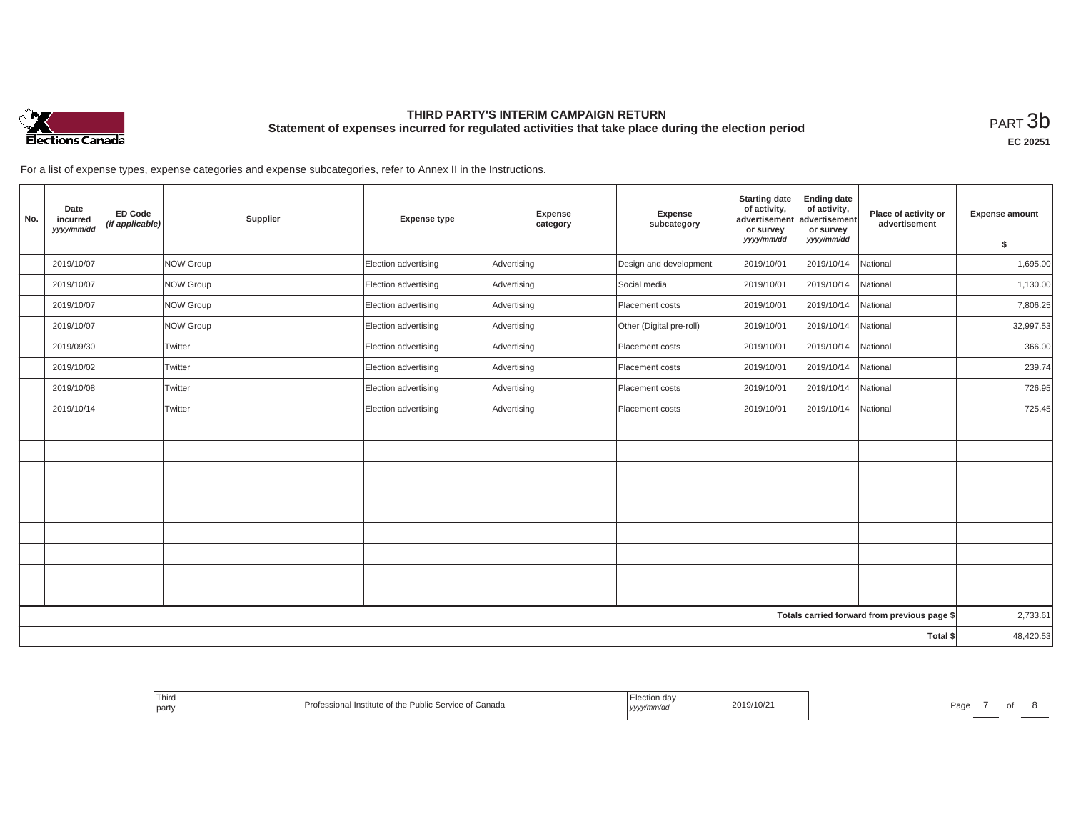

## **THIRD PARTY'S INTERIM CAMPAIGN RETURN Statement of expenses incurred for regulated activities that take place during the election period**<br>РАRТ  $3\mathrm{b}$

**EC 20251**

For a list of expense types, expense categories and expense subcategories, refer to Annex II in the Instructions.

| No.      | Date<br>incurred<br>yyyy/mm/dd | <b>ED Code</b><br>(if applicable) | Supplier         | <b>Expense type</b>  | <b>Expense</b><br>category | Expense<br>subcategory   | <b>Starting date</b><br>of activity,<br>advertisement<br>or survey<br>yyyy/mm/dd | <b>Ending date</b><br>of activity,<br>advertisement<br>or survey<br>yyyy/mm/dd | Place of activity or<br>advertisement        | <b>Expense amount</b><br>\$ |
|----------|--------------------------------|-----------------------------------|------------------|----------------------|----------------------------|--------------------------|----------------------------------------------------------------------------------|--------------------------------------------------------------------------------|----------------------------------------------|-----------------------------|
|          | 2019/10/07                     |                                   | <b>NOW Group</b> | Election advertising | Advertising                | Design and development   | 2019/10/01                                                                       | 2019/10/14                                                                     | National                                     | 1,695.00                    |
|          | 2019/10/07                     |                                   | NOW Group        | Election advertising | Advertising                | Social media             | 2019/10/01                                                                       | 2019/10/14                                                                     | National                                     | 1,130.00                    |
|          | 2019/10/07                     |                                   | NOW Group        | Election advertising | Advertising                | Placement costs          | 2019/10/01                                                                       | 2019/10/14                                                                     | National                                     | 7,806.25                    |
|          | 2019/10/07                     |                                   | <b>NOW Group</b> | Election advertising | Advertising                | Other (Digital pre-roll) | 2019/10/01                                                                       | 2019/10/14                                                                     | National                                     | 32,997.53                   |
|          | 2019/09/30                     |                                   | Twitter          | Election advertising | Advertising                | Placement costs          | 2019/10/01                                                                       | 2019/10/14                                                                     | National                                     | 366.00                      |
|          | 2019/10/02                     |                                   | Twitter          | Election advertising | Advertising                | Placement costs          | 2019/10/01                                                                       | 2019/10/14                                                                     | National                                     | 239.74                      |
|          | 2019/10/08                     |                                   | Twitter          | Election advertising | Advertising                | Placement costs          | 2019/10/01                                                                       | 2019/10/14                                                                     | National                                     | 726.95                      |
|          | 2019/10/14                     |                                   | Twitter          | Election advertising | Advertising                | Placement costs          | 2019/10/01                                                                       | 2019/10/14                                                                     | National                                     | 725.45                      |
|          |                                |                                   |                  |                      |                            |                          |                                                                                  |                                                                                |                                              |                             |
|          |                                |                                   |                  |                      |                            |                          |                                                                                  |                                                                                |                                              |                             |
|          |                                |                                   |                  |                      |                            |                          |                                                                                  |                                                                                |                                              |                             |
|          |                                |                                   |                  |                      |                            |                          |                                                                                  |                                                                                |                                              |                             |
|          |                                |                                   |                  |                      |                            |                          |                                                                                  |                                                                                |                                              |                             |
|          |                                |                                   |                  |                      |                            |                          |                                                                                  |                                                                                |                                              |                             |
|          |                                |                                   |                  |                      |                            |                          |                                                                                  |                                                                                |                                              |                             |
|          |                                |                                   |                  |                      |                            |                          |                                                                                  |                                                                                |                                              |                             |
|          |                                |                                   |                  |                      |                            |                          |                                                                                  |                                                                                |                                              |                             |
|          |                                |                                   |                  |                      |                            |                          |                                                                                  |                                                                                | Totals carried forward from previous page \$ | 2,733.61                    |
| Total \$ |                                |                                   |                  |                      |                            |                          | 48,420.53                                                                        |                                                                                |                                              |                             |

| Third<br>Professional Institute of the Public Service of Canada<br>party | Election day<br>2019/10/21<br>, yyyy/mm/dd | Page |
|--------------------------------------------------------------------------|--------------------------------------------|------|
|--------------------------------------------------------------------------|--------------------------------------------|------|